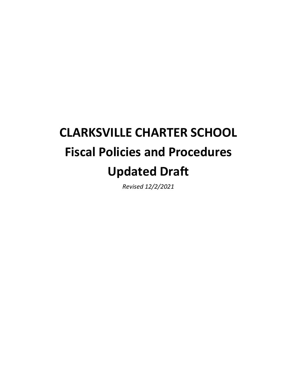# **CLARKSVILLE CHARTER SCHOOL Fiscal Policies and Procedures Updated Draft**

*Revised 12/2/2021*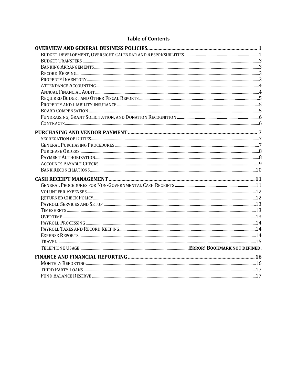## **Table of Contents**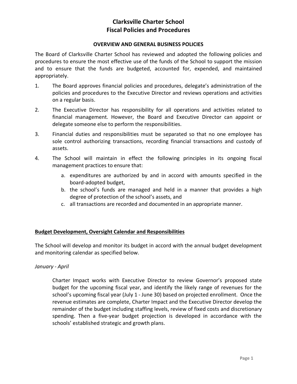#### **OVERVIEW AND GENERAL BUSINESS POLICIES**

The Board of Clarksville Charter School has reviewed and adopted the following policies and procedures to ensure the most effective use of the funds of the School to support the mission and to ensure that the funds are budgeted, accounted for, expended, and maintained appropriately.

- 1. The Board approves financial policies and procedures, delegate's administration of the policies and procedures to the Executive Director and reviews operations and activities on a regular basis.
- 2. The Executive Director has responsibility for all operations and activities related to financial management. However, the Board and Executive Director can appoint or delegate someone else to perform the responsibilities.
- 3. Financial duties and responsibilities must be separated so that no one employee has sole control authorizing transactions, recording financial transactions and custody of assets.
- 4. The School will maintain in effect the following principles in its ongoing fiscal management practices to ensure that:
	- a. expenditures are authorized by and in accord with amounts specified in the board-adopted budget,
	- b. the school's funds are managed and held in a manner that provides a high degree of protection of the school's assets, and
	- c. all transactions are recorded and documented in an appropriate manner.

## **Budget Development, Oversight Calendar and Responsibilities**

The School will develop and monitor its budget in accord with the annual budget development and monitoring calendar as specified below.

## *January - April*

Charter Impact works with Executive Director to review Governor's proposed state budget for the upcoming fiscal year, and identify the likely range of revenues for the school's upcoming fiscal year (July 1 - June 30) based on projected enrollment. Once the revenue estimates are complete, Charter Impact and the Executive Director develop the remainder of the budget including staffing levels, review of fixed costs and discretionary spending. Then a five-year budget projection is developed in accordance with the schools' established strategic and growth plans.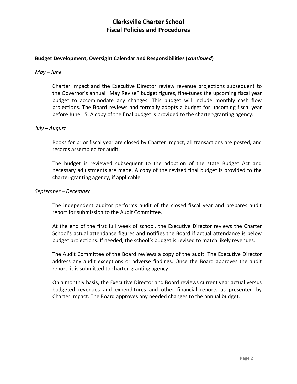## **Budget Development, Oversight Calendar and Responsibilities (***continued***)**

#### *May – June*

Charter Impact and the Executive Director review revenue projections subsequent to the Governor's annual "May Revise" budget figures, fine-tunes the upcoming fiscal year budget to accommodate any changes. This budget will include monthly cash flow projections. The Board reviews and formally adopts a budget for upcoming fiscal year before June 15. A copy of the final budget is provided to the charter-granting agency.

#### *July – August*

Books for prior fiscal year are closed by Charter Impact, all transactions are posted, and records assembled for audit.

The budget is reviewed subsequent to the adoption of the state Budget Act and necessary adjustments are made. A copy of the revised final budget is provided to the charter-granting agency, if applicable.

#### *September – December*

The independent auditor performs audit of the closed fiscal year and prepares audit report for submission to the Audit Committee.

At the end of the first full week of school, the Executive Director reviews the Charter School's actual attendance figures and notifies the Board if actual attendance is below budget projections. If needed, the school's budget is revised to match likely revenues.

The Audit Committee of the Board reviews a copy of the audit. The Executive Director address any audit exceptions or adverse findings. Once the Board approves the audit report, it is submitted to charter-granting agency.

On a monthly basis, the Executive Director and Board reviews current year actual versus budgeted revenues and expenditures and other financial reports as presented by Charter Impact. The Board approves any needed changes to the annual budget.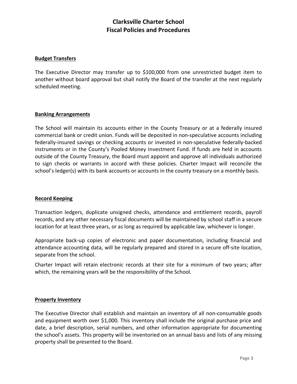#### **Budget Transfers**

The Executive Director may transfer up to \$100,000 from one unrestricted budget item to another without board approval but shall notify the Board of the transfer at the next regularly scheduled meeting.

#### **Banking Arrangements**

The School will maintain its accounts either in the County Treasury or at a federally insured commercial bank or credit union. Funds will be deposited in non-speculative accounts including federally-insured savings or checking accounts or invested in non-speculative federally-backed instruments or in the County's Pooled Money Investment Fund. If funds are held in accounts outside of the County Treasury, the Board must appoint and approve all individuals authorized to sign checks or warrants in accord with these policies. Charter Impact will reconcile the school's ledger(s) with its bank accounts or accounts in the county treasury on a monthly basis.

## **Record Keeping**

Transaction ledgers, duplicate unsigned checks, attendance and entitlement records, payroll records, and any other necessary fiscal documents will be maintained by school staff in a secure location for at least three years, or as long as required by applicable law, whichever is longer.

Appropriate back-up copies of electronic and paper documentation, including financial and attendance accounting data, will be regularly prepared and stored in a secure off-site location, separate from the school.

Charter Impact will retain electronic records at their site for a minimum of two years; after which, the remaining years will be the responsibility of the School.

#### **Property Inventory**

The Executive Director shall establish and maintain an inventory of all non-consumable goods and equipment worth over \$1,000. This inventory shall include the original purchase price and date, a brief description, serial numbers, and other information appropriate for documenting the school's assets. This property will be inventoried on an annual basis and lists of any missing property shall be presented to the Board.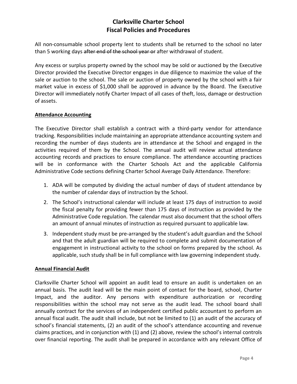All non-consumable school property lent to students shall be returned to the school no later than 5 working days after end of the school year or after withdrawal of student.

Any excess or surplus property owned by the school may be sold or auctioned by the Executive Director provided the Executive Director engages in due diligence to maximize the value of the sale or auction to the school. The sale or auction of property owned by the school with a fair market value in excess of \$1,000 shall be approved in advance by the Board. The Executive Director will immediately notify Charter Impact of all cases of theft, loss, damage or destruction of assets.

## **Attendance Accounting**

The Executive Director shall establish a contract with a third-party vendor for attendance tracking. Responsibilities include maintaining an appropriate attendance accounting system and recording the number of days students are in attendance at the School and engaged in the activities required of them by the School. The annual audit will review actual attendance accounting records and practices to ensure compliance. The attendance accounting practices will be in conformance with the Charter Schools Act and the applicable California Administrative Code sections defining Charter School Average Daily Attendance. Therefore:

- 1. ADA will be computed by dividing the actual number of days of student attendance by the number of calendar days of instruction by the School.
- 2. The School's instructional calendar will include at least 175 days of instruction to avoid the fiscal penalty for providing fewer than 175 days of instruction as provided by the Administrative Code regulation. The calendar must also document that the school offers an amount of annual minutes of instruction as required pursuant to applicable law.
- 3. Independent study must be pre-arranged by the student's adult guardian and the School and that the adult guardian will be required to complete and submit documentation of engagement in instructional activity to the school on forms prepared by the school. As applicable, such study shall be in full compliance with law governing independent study.

## **Annual Financial Audit**

Clarksville Charter School will appoint an audit lead to ensure an audit is undertaken on an annual basis. The audit lead will be the main point of contact for the board, school, Charter Impact, and the auditor. Any persons with expenditure authorization or recording responsibilities within the school may not serve as the audit lead. The school board shall annually contract for the services of an independent certified public accountant to perform an annual fiscal audit. The audit shall include, but not be limited to (1) an audit of the accuracy of school's financial statements, (2) an audit of the school's attendance accounting and revenue claims practices, and in conjunction with (1) and (2) above, review the school's internal controls over financial reporting. The audit shall be prepared in accordance with any relevant Office of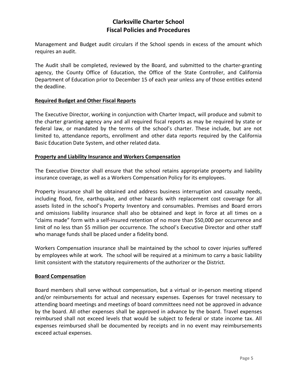Management and Budget audit circulars if the School spends in excess of the amount which requires an audit.

The Audit shall be completed, reviewed by the Board, and submitted to the charter-granting agency, the County Office of Education, the Office of the State Controller, and California Department of Education prior to December 15 of each year unless any of those entities extend the deadline.

## **Required Budget and Other Fiscal Reports**

The Executive Director, working in conjunction with Charter Impact, will produce and submit to the charter granting agency any and all required fiscal reports as may be required by state or federal law, or mandated by the terms of the school's charter. These include, but are not limited to, attendance reports, enrollment and other data reports required by the California Basic Education Date System, and other related data.

#### **Property and Liability Insurance and Workers Compensation**

The Executive Director shall ensure that the school retains appropriate property and liability insurance coverage, as well as a Workers Compensation Policy for its employees.

Property insurance shall be obtained and address business interruption and casualty needs, including flood, fire, earthquake, and other hazards with replacement cost coverage for all assets listed in the school's Property Inventory and consumables. Premises and Board errors and omissions liability insurance shall also be obtained and kept in force at all times on a "claims made" form with a self-insured retention of no more than \$50,000 per occurrence and limit of no less than \$5 million per occurrence. The school's Executive Director and other staff who manage funds shall be placed under a fidelity bond.

Workers Compensation insurance shall be maintained by the school to cover injuries suffered by employees while at work. The school will be required at a minimum to carry a basic liability limit consistent with the statutory requirements of the authorizer or the District.

#### **Board Compensation**

Board members shall serve without compensation, but a virtual or in-person meeting stipend and/or reimbursements for actual and necessary expenses. Expenses for travel necessary to attending board meetings and meetings of board committees need not be approved in advance by the board. All other expenses shall be approved in advance by the board. Travel expenses reimbursed shall not exceed levels that would be subject to federal or state income tax. All expenses reimbursed shall be documented by receipts and in no event may reimbursements exceed actual expenses.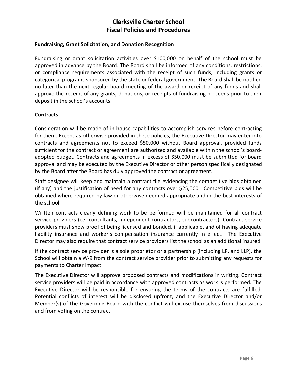## **Fundraising, Grant Solicitation, and Donation Recognition**

Fundraising or grant solicitation activities over \$100,000 on behalf of the school must be approved in advance by the Board. The Board shall be informed of any conditions, restrictions, or compliance requirements associated with the receipt of such funds, including grants or categorical programs sponsored by the state or federal government. The Board shall be notified no later than the next regular board meeting of the award or receipt of any funds and shall approve the receipt of any grants, donations, or receipts of fundraising proceeds prior to their deposit in the school's accounts.

#### **Contracts**

Consideration will be made of in-house capabilities to accomplish services before contracting for them. Except as otherwise provided in these policies, the Executive Director may enter into contracts and agreements not to exceed \$50,000 without Board approval, provided funds sufficient for the contract or agreement are authorized and available within the school's boardadopted budget. Contracts and agreements in excess of \$50,000 must be submitted for board approval and may be executed by the Executive Director or other person specifically designated by the Board after the Board has duly approved the contract or agreement.

Staff designee will keep and maintain a contract file evidencing the competitive bids obtained (if any) and the justification of need for any contracts over \$25,000. Competitive bids will be obtained where required by law or otherwise deemed appropriate and in the best interests of the school.

Written contracts clearly defining work to be performed will be maintained for all contract service providers (i.e. consultants, independent contractors, subcontractors). Contract service providers must show proof of being licensed and bonded, if applicable, and of having adequate liability insurance and worker's compensation insurance currently in effect. The Executive Director may also require that contract service providers list the school as an additional insured.

If the contract service provider is a sole proprietor or a partnership (including LP, and LLP), the School will obtain a W-9 from the contract service provider prior to submitting any requests for payments to Charter Impact.

The Executive Director will approve proposed contracts and modifications in writing. Contract service providers will be paid in accordance with approved contracts as work is performed. The Executive Director will be responsible for ensuring the terms of the contracts are fulfilled. Potential conflicts of interest will be disclosed upfront, and the Executive Director and/or Member(s) of the Governing Board with the conflict will excuse themselves from discussions and from voting on the contract.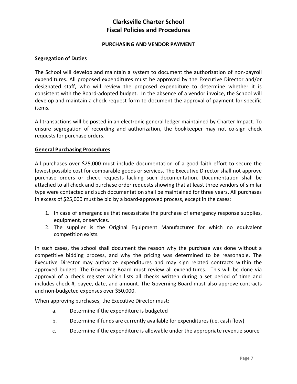#### **PURCHASING AND VENDOR PAYMENT**

#### **Segregation of Duties**

The School will develop and maintain a system to document the authorization of non-payroll expenditures. All proposed expenditures must be approved by the Executive Director and/or designated staff, who will review the proposed expenditure to determine whether it is consistent with the Board-adopted budget. In the absence of a vendor invoice, the School will develop and maintain a check request form to document the approval of payment for specific items.

All transactions will be posted in an electronic general ledger maintained by Charter Impact. To ensure segregation of recording and authorization, the bookkeeper may not co-sign check requests for purchase orders.

#### **General Purchasing Procedures**

All purchases over \$25,000 must include documentation of a good faith effort to secure the lowest possible cost for comparable goods or services. The Executive Director shall not approve purchase orders or check requests lacking such documentation. Documentation shall be attached to all check and purchase order requests showing that at least three vendors of similar type were contacted and such documentation shall be maintained for three years. All purchases in excess of \$25,000 must be bid by a board-approved process, except in the cases:

- 1. In case of emergencies that necessitate the purchase of emergency response supplies, equipment, or services.
- 2. The supplier is the Original Equipment Manufacturer for which no equivalent competition exists.

In such cases, the school shall document the reason why the purchase was done without a competitive bidding process, and why the pricing was determined to be reasonable. The Executive Director may authorize expenditures and may sign related contracts within the approved budget. The Governing Board must review all expenditures. This will be done via approval of a check register which lists all checks written during a set period of time and includes check #, payee, date, and amount. The Governing Board must also approve contracts and non-budgeted expenses over \$50,000.

When approving purchases, the Executive Director must:

- a. Determine if the expenditure is budgeted
- b. Determine if funds are currently available for expenditures (i.e. cash flow)
- c. Determine if the expenditure is allowable under the appropriate revenue source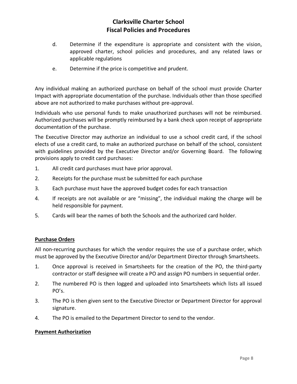- d. Determine if the expenditure is appropriate and consistent with the vision, approved charter, school policies and procedures, and any related laws or applicable regulations
- e. Determine if the price is competitive and prudent.

Any individual making an authorized purchase on behalf of the school must provide Charter Impact with appropriate documentation of the purchase. Individuals other than those specified above are not authorized to make purchases without pre-approval.

Individuals who use personal funds to make unauthorized purchases will not be reimbursed. Authorized purchases will be promptly reimbursed by a bank check upon receipt of appropriate documentation of the purchase.

The Executive Director may authorize an individual to use a school credit card, if the school elects of use a credit card, to make an authorized purchase on behalf of the school, consistent with guidelines provided by the Executive Director and/or Governing Board. The following provisions apply to credit card purchases:

- 1. All credit card purchases must have prior approval.
- 2. Receipts for the purchase must be submitted for each purchase
- 3. Each purchase must have the approved budget codes for each transaction
- 4. If receipts are not available or are "missing", the individual making the charge will be held responsible for payment.
- 5. Cards will bear the names of both the Schools and the authorized card holder.

## **Purchase Orders**

All non-recurring purchases for which the vendor requires the use of a purchase order, which must be approved by the Executive Director and/or Department Director through Smartsheets.

- 1. Once approval is received in Smartsheets for the creation of the PO, the third-party contractor or staff designee will create a PO and assign PO numbers in sequential order.
- 2. The numbered PO is then logged and uploaded into Smartsheets which lists all issued PO's.
- 3. The PO is then given sent to the Executive Director or Department Director for approval signature.
- 4. The PO is emailed to the Department Director to send to the vendor.

#### **Payment Authorization**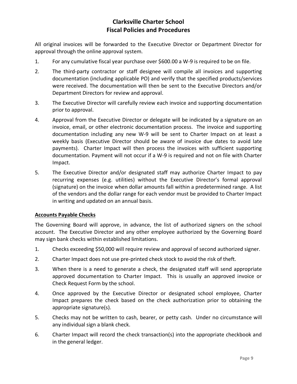All original invoices will be forwarded to the Executive Director or Department Director for approval through the online approval system.

- 1. For any cumulative fiscal year purchase over \$600.00 a W-9 is required to be on file.
- 2. The third-party contractor or staff designee will compile all invoices and supporting documentation (including applicable PO) and verify that the specified products/services were received. The documentation will then be sent to the Executive Directors and/or Department Directors for review and approval.
- 3. The Executive Director will carefully review each invoice and supporting documentation prior to approval.
- 4. Approval from the Executive Director or delegate will be indicated by a signature on an invoice, email, or other electronic documentation process. The invoice and supporting documentation including any new W-9 will be sent to Charter Impact on at least a weekly basis (Executive Director should be aware of invoice due dates to avoid late payments). Charter Impact will then process the invoices with sufficient supporting documentation. Payment will not occur if a W-9 is required and not on file with Charter Impact.
- 5. The Executive Director and/or designated staff may authorize Charter Impact to pay recurring expenses (e.g. utilities) without the Executive Director's formal approval (signature) on the invoice when dollar amounts fall within a predetermined range. A list of the vendors and the dollar range for each vendor must be provided to Charter Impact in writing and updated on an annual basis.

## **Accounts Payable Checks**

The Governing Board will approve, in advance, the list of authorized signers on the school account. The Executive Director and any other employee authorized by the Governing Board may sign bank checks within established limitations.

- 1. Checks exceeding \$50,000 will require review and approval of second authorized signer.
- 2. Charter Impact does not use pre-printed check stock to avoid the risk of theft.
- 3. When there is a need to generate a check, the designated staff will send appropriate approved documentation to Charter Impact. This is usually an approved invoice or Check Request Form by the school.
- 4. Once approved by the Executive Director or designated school employee, Charter Impact prepares the check based on the check authorization prior to obtaining the appropriate signature(s).
- 5. Checks may not be written to cash, bearer, or petty cash. Under no circumstance will any individual sign a blank check.
- 6. Charter Impact will record the check transaction(s) into the appropriate checkbook and in the general ledger.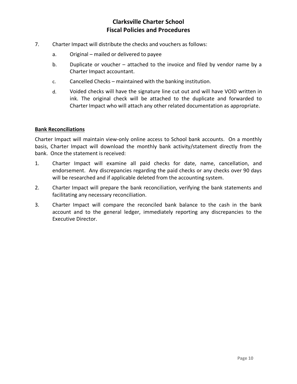- 7. Charter Impact will distribute the checks and vouchers as follows:
	- a. Original mailed or delivered to payee
	- b. Duplicate or voucher attached to the invoice and filed by vendor name by a Charter Impact accountant.
	- c. Cancelled Checks maintained with the banking institution.
	- d. Voided checks will have the signature line cut out and will have VOID written in ink. The original check will be attached to the duplicate and forwarded to Charter Impact who will attach any other related documentation as appropriate.

## **Bank Reconciliations**

Charter Impact will maintain view-only online access to School bank accounts. On a monthly basis, Charter Impact will download the monthly bank activity/statement directly from the bank. Once the statement is received:

- 1. Charter Impact will examine all paid checks for date, name, cancellation, and endorsement. Any discrepancies regarding the paid checks or any checks over 90 days will be researched and if applicable deleted from the accounting system.
- 2. Charter Impact will prepare the bank reconciliation, verifying the bank statements and facilitating any necessary reconciliation.
- 3. Charter Impact will compare the reconciled bank balance to the cash in the bank account and to the general ledger, immediately reporting any discrepancies to the Executive Director.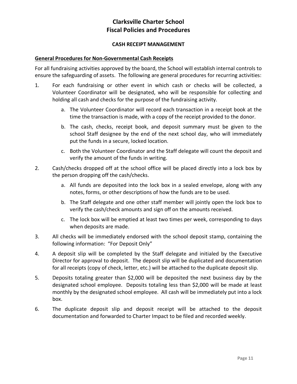## **CASH RECEIPT MANAGEMENT**

#### **General Procedures for Non-Governmental Cash Receipts**

For all fundraising activities approved by the board, the School will establish internal controls to ensure the safeguarding of assets. The following are general procedures for recurring activities:

- 1. For each fundraising or other event in which cash or checks will be collected, a Volunteer Coordinator will be designated, who will be responsible for collecting and holding all cash and checks for the purpose of the fundraising activity.
	- a. The Volunteer Coordinator will record each transaction in a receipt book at the time the transaction is made, with a copy of the receipt provided to the donor.
	- b. The cash, checks, receipt book, and deposit summary must be given to the school Staff designee by the end of the next school day, who will immediately put the funds in a secure, locked location.
	- c. Both the Volunteer Coordinator and the Staff delegate will count the deposit and verify the amount of the funds in writing.
- 2. Cash/checks dropped off at the school office will be placed directly into a lock box by the person dropping off the cash/checks.
	- a. All funds are deposited into the lock box in a sealed envelope, along with any notes, forms, or other descriptions of how the funds are to be used.
	- b. The Staff delegate and one other staff member will jointly open the lock box to verify the cash/check amounts and sign off on the amounts received.
	- c. The lock box will be emptied at least two times per week, corresponding to days when deposits are made.
- 3. All checks will be immediately endorsed with the school deposit stamp, containing the following information: "For Deposit Only"
- 4. A deposit slip will be completed by the Staff delegate and initialed by the Executive Director for approval to deposit. The deposit slip will be duplicated and documentation for all receipts (copy of check, letter, etc.) will be attached to the duplicate deposit slip.
- 5. Deposits totaling greater than \$2,000 will be deposited the next business day by the designated school employee. Deposits totaling less than \$2,000 will be made at least monthly by the designated school employee. All cash will be immediately put into a lock box.
- 6. The duplicate deposit slip and deposit receipt will be attached to the deposit documentation and forwarded to Charter Impact to be filed and recorded weekly.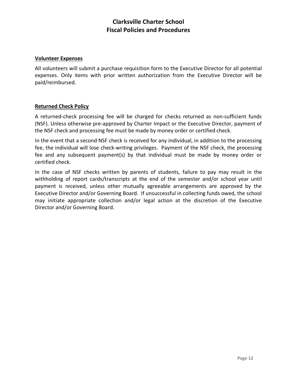#### **Volunteer Expenses**

All volunteers will submit a purchase requisition form to the Executive Director for all potential expenses. Only items with prior written authorization from the Executive Director will be paid/reimbursed.

## **Returned Check Policy**

A returned-check processing fee will be charged for checks returned as non-sufficient funds (NSF). Unless otherwise pre-approved by Charter Impact or the Executive Director, payment of the NSF check and processing fee must be made by money order or certified check.

In the event that a second NSF check is received for any individual, in addition to the processing fee, the individual will lose check-writing privileges. Payment of the NSF check, the processing fee and any subsequent payment(s) by that individual must be made by money order or certified check.

In the case of NSF checks written by parents of students, failure to pay may result in the withholding of report cards/transcripts at the end of the semester and/or school year until payment is received, unless other mutually agreeable arrangements are approved by the Executive Director and/or Governing Board. If unsuccessful in collecting funds owed, the school may initiate appropriate collection and/or legal action at the discretion of the Executive Director and/or Governing Board.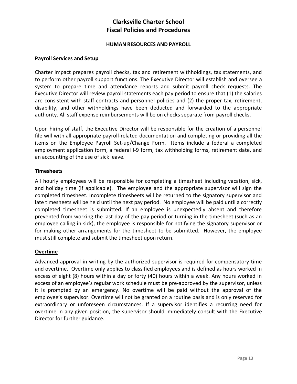#### **HUMAN RESOURCES AND PAYROLL**

#### **Payroll Services and Setup**

Charter Impact prepares payroll checks, tax and retirement withholdings, tax statements, and to perform other payroll support functions. The Executive Director will establish and oversee a system to prepare time and attendance reports and submit payroll check requests. The Executive Director will review payroll statements each pay period to ensure that (1) the salaries are consistent with staff contracts and personnel policies and (2) the proper tax, retirement, disability, and other withholdings have been deducted and forwarded to the appropriate authority. All staff expense reimbursements will be on checks separate from payroll checks.

Upon hiring of staff, the Executive Director will be responsible for the creation of a personnel file will with all appropriate payroll-related documentation and completing or providing all the items on the Employee Payroll Set-up/Change Form. Items include a federal a completed employment application form, a federal I-9 form, tax withholding forms, retirement date, and an accounting of the use of sick leave.

## **Timesheets**

All hourly employees will be responsible for completing a timesheet including vacation, sick, and holiday time (if applicable). The employee and the appropriate supervisor will sign the completed timesheet. Incomplete timesheets will be returned to the signatory supervisor and late timesheets will be held until the next pay period. No employee will be paid until a correctly completed timesheet is submitted. If an employee is unexpectedly absent and therefore prevented from working the last day of the pay period or turning in the timesheet (such as an employee calling in sick), the employee is responsible for notifying the signatory supervisor or for making other arrangements for the timesheet to be submitted. However, the employee must still complete and submit the timesheet upon return.

## **Overtime**

Advanced approval in writing by the authorized supervisor is required for compensatory time and overtime. Overtime only applies to classified employees and is defined as hours worked in excess of eight (8) hours within a day or forty (40) hours within a week. Any hours worked in excess of an employee's regular work schedule must be pre-approved by the supervisor, unless it is prompted by an emergency. No overtime will be paid without the approval of the employee's supervisor. Overtime will not be granted on a routine basis and is only reserved for extraordinary or unforeseen circumstances. If a supervisor identifies a recurring need for overtime in any given position, the supervisor should immediately consult with the Executive Director for further guidance.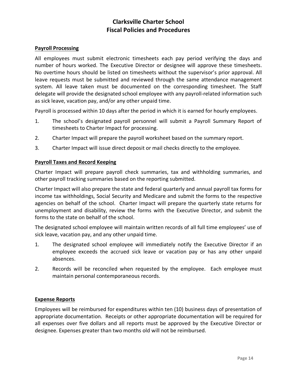#### **Payroll Processing**

All employees must submit electronic timesheets each pay period verifying the days and number of hours worked. The Executive Director or designee will approve these timesheets. No overtime hours should be listed on timesheets without the supervisor's prior approval. All leave requests must be submitted and reviewed through the same attendance management system. All leave taken must be documented on the corresponding timesheet. The Staff delegate will provide the designated school employee with any payroll-related information such as sick leave, vacation pay, and/or any other unpaid time.

Payroll is processed within 10 days after the period in which it is earned for hourly employees.

- 1. The school's designated payroll personnel will submit a Payroll Summary Report of timesheets to Charter Impact for processing.
- 2. Charter Impact will prepare the payroll worksheet based on the summary report.
- 3. Charter Impact will issue direct deposit or mail checks directly to the employee.

#### **Payroll Taxes and Record Keeping**

Charter Impact will prepare payroll check summaries, tax and withholding summaries, and other payroll tracking summaries based on the reporting submitted.

Charter Impact will also prepare the state and federal quarterly and annual payroll tax forms for income tax withholdings, Social Security and Medicare and submit the forms to the respective agencies on behalf of the school. Charter Impact will prepare the quarterly state returns for unemployment and disability, review the forms with the Executive Director, and submit the forms to the state on behalf of the school.

The designated school employee will maintain written records of all full time employees' use of sick leave, vacation pay, and any other unpaid time.

- 1. The designated school employee will immediately notify the Executive Director if an employee exceeds the accrued sick leave or vacation pay or has any other unpaid absences.
- 2. Records will be reconciled when requested by the employee. Each employee must maintain personal contemporaneous records.

#### **Expense Reports**

Employees will be reimbursed for expenditures within ten (10) business days of presentation of appropriate documentation. Receipts or other appropriate documentation will be required for all expenses over five dollars and all reports must be approved by the Executive Director or designee. Expenses greater than two months old will not be reimbursed.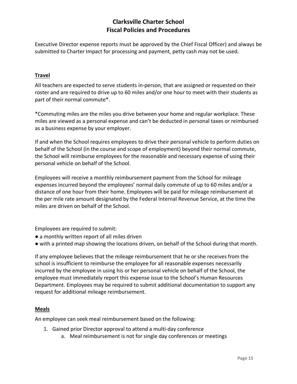Executive Director expense reports must be approved by the Chief Fiscal Officer) and always be submitted to Charter Impact for processing and payment, petty cash may not be used.

## **Travel**

All teachers are expected to serve students in-person, that are assigned or requested on their roster and are required to drive up to 60 miles and/or one hour to meet with their students as part of their normal commute\*.

\*Commuting miles are the miles you drive between your home and regular workplace. These miles are viewed as a personal expense and can't be deducted in personal taxes or reimbursed as a business expense by your employer.

If and when the School requires employees to drive their personal vehicle to perform duties on behalf of the School (in the course and scope of employment) beyond their normal commute, the School will reimburse employees for the reasonable and necessary expense of using their personal vehicle on behalf of the School.

Employees will receive a monthly reimbursement payment from the School for mileage expenses incurred beyond the employees' normal daily commute of up to 60 miles and/or a distance of one hour from their home. Employees will be paid for mileage reimbursement at the per mile rate amount designated by the Federal Internal Revenue Service, at the time the miles are driven on behalf of the School.

Employees are required to submit:

- a monthly written report of all miles driven
- with a printed map showing the locations driven, on behalf of the School during that month.

If any employee believes that the mileage reimbursement that he or she receives from the school is insufficient to reimburse the employee for all reasonable expenses necessarily incurred by the employee in using his or her personal vehicle on behalf of the School, the employee must immediately report this expense issue to the School's Human Resources Department. Employees may be required to submit additional documentation to support any request for additional mileage reimbursement.

## **Meals**

An employee can seek meal reimbursement based on the following:

- 1. Gained prior Director approval to attend a multi-day conference
	- a. Meal reimbursement is not for single day conferences or meetings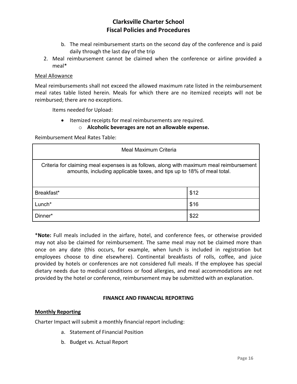- b. The meal reimbursement starts on the second day of the conference and is paid daily through the last day of the trip
- 2. Meal reimbursement cannot be claimed when the conference or airline provided a meal\*

#### Meal Allowance

Meal reimbursements shall not exceed the allowed maximum rate listed in the reimbursement meal rates table listed herein. Meals for which there are no itemized receipts will not be reimbursed; there are no exceptions.

Items needed for Upload:

• Itemized receipts for meal reimbursements are required.

o **Alcoholic beverages are not an allowable expense.**

Reimbursement Meal Rates Table:

| Meal Maximum Criteria                                                                                                                                              |      |
|--------------------------------------------------------------------------------------------------------------------------------------------------------------------|------|
| Criteria for claiming meal expenses is as follows, along with maximum meal reimbursement<br>amounts, including applicable taxes, and tips up to 18% of meal total. |      |
| Breakfast*                                                                                                                                                         | \$12 |
| Lunch*                                                                                                                                                             | \$16 |
| Dinner*                                                                                                                                                            | \$22 |

\***Note:** Full meals included in the airfare, hotel, and conference fees, or otherwise provided may not also be claimed for reimbursement. The same meal may not be claimed more than once on any date (this occurs, for example, when lunch is included in registration but employees choose to dine elsewhere). Continental breakfasts of rolls, coffee, and juice provided by hotels or conferences are not considered full meals. If the employee has special dietary needs due to medical conditions or food allergies, and meal accommodations are not provided by the hotel or conference, reimbursement may be submitted with an explanation.

#### **FINANCE AND FINANCIAL REPORTING**

#### **Monthly Reporting**

Charter Impact will submit a monthly financial report including:

- a. Statement of Financial Position
- b. Budget vs. Actual Report